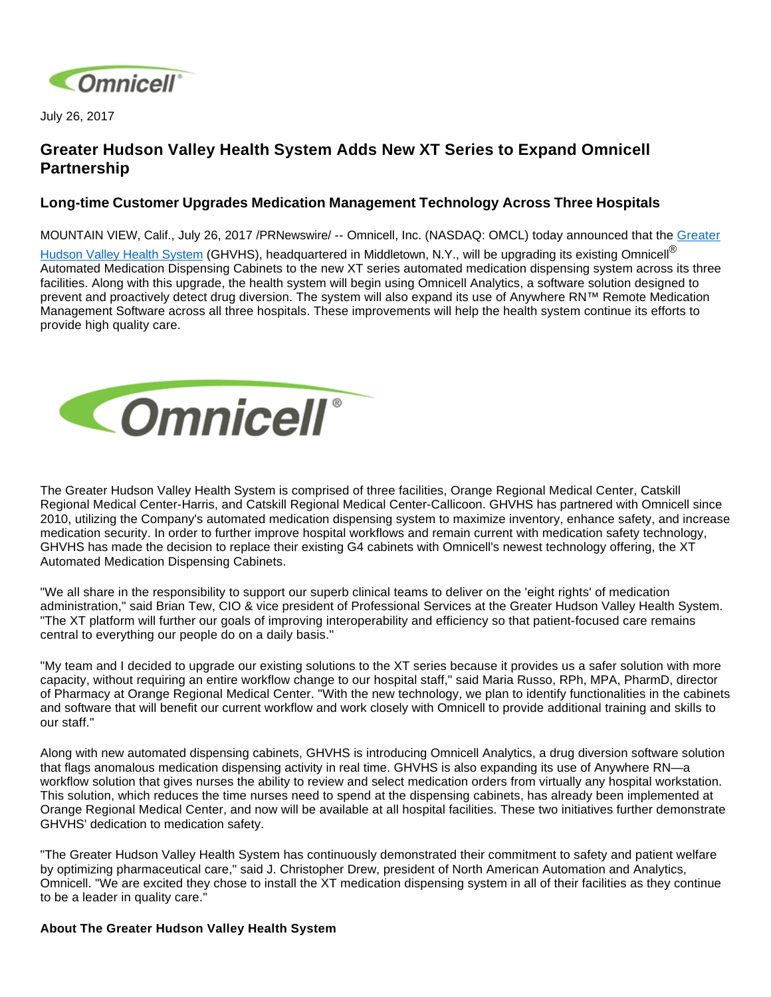

July 26, 2017

## **Greater Hudson Valley Health System Adds New XT Series to Expand Omnicell Partnership**

## **Long-time Customer Upgrades Medication Management Technology Across Three Hospitals**

MOUNTAIN VIEW, Calif., July 26, 2017 /PRNewswire/ -- Omnicell, Inc. (NASDAQ: OMCL) today announced that the Greater [Hudson Valley Health System](https://www.ormc.org/about-us/ghvhs) (GHVHS), headquartered in Middletown, N.Y., will be upgrading its existing Omnicell<sup>®</sup> Automated Medication Dispensing Cabinets to the new XT series automated medication dispensing system across its three facilities. Along with this upgrade, the health system will begin using Omnicell Analytics, a software solution designed to prevent and proactively detect drug diversion. The system will also expand its use of Anywhere RN™ Remote Medication Management Software across all three hospitals. These improvements will help the health system continue its efforts to provide high quality care.



The Greater Hudson Valley Health System is comprised of three facilities, Orange Regional Medical Center, Catskill Regional Medical Center-Harris, and Catskill Regional Medical Center-Callicoon. GHVHS has partnered with Omnicell since 2010, utilizing the Company's automated medication dispensing system to maximize inventory, enhance safety, and increase medication security. In order to further improve hospital workflows and remain current with medication safety technology, GHVHS has made the decision to replace their existing G4 cabinets with Omnicell's newest technology offering, the XT Automated Medication Dispensing Cabinets.

"We all share in the responsibility to support our superb clinical teams to deliver on the 'eight rights' of medication administration," said Brian Tew, CIO & vice president of Professional Services at the Greater Hudson Valley Health System. "The XT platform will further our goals of improving interoperability and efficiency so that patient-focused care remains central to everything our people do on a daily basis."

"My team and I decided to upgrade our existing solutions to the XT series because it provides us a safer solution with more capacity, without requiring an entire workflow change to our hospital staff," said Maria Russo, RPh, MPA, PharmD, director of Pharmacy at Orange Regional Medical Center. "With the new technology, we plan to identify functionalities in the cabinets and software that will benefit our current workflow and work closely with Omnicell to provide additional training and skills to our staff."

Along with new automated dispensing cabinets, GHVHS is introducing Omnicell Analytics, a drug diversion software solution that flags anomalous medication dispensing activity in real time. GHVHS is also expanding its use of Anywhere RN—a workflow solution that gives nurses the ability to review and select medication orders from virtually any hospital workstation. This solution, which reduces the time nurses need to spend at the dispensing cabinets, has already been implemented at Orange Regional Medical Center, and now will be available at all hospital facilities. These two initiatives further demonstrate GHVHS' dedication to medication safety.

"The Greater Hudson Valley Health System has continuously demonstrated their commitment to safety and patient welfare by optimizing pharmaceutical care," said J. Christopher Drew, president of North American Automation and Analytics, Omnicell. "We are excited they chose to install the XT medication dispensing system in all of their facilities as they continue to be a leader in quality care."

## **About The Greater Hudson Valley Health System**